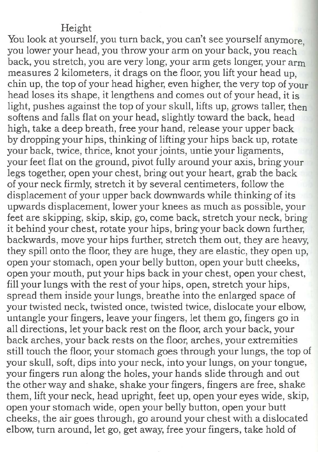## Height

You look at yourself, you turn back, you can't see yourself anymore you lower your head, you throw your arm on your back, you reach ' back, you stretch, you are very long, your arm gets longer, your arm measures 2 kilometers, it drags on the floor, you lift your head up, chin up, the top of your head higher, even higher, the very top of your head loses its shape, it lengthens and comes out of your head, it is light, pushes against the top of your skull, lifts up, grows taller, then softens and falls flat on your head, slightly toward the back, head high, take a deep breath, free your hand, release your upper back by dropping your hips, thinking of lifting your hips back up, rotate your back, twice, thrice, knot your joints, untie your ligaments, your feet flat on the ground, pivot fully around your axis, bring your legs together, open your chest, bring out your heart, grab the back of your neck firmly, stretch it by several centimeters, follow the displacement of your upper back downwards while thinking of its upwards displacement, lower your knees as much as possible, your feet are skipping, skip, skip, go, come back, stretch your neck, bring it behind your chest, rotate your hips, bring your back down further, backwards, move your hips further, stretch them out, they are heavy, they spill onto the floor, they are huge, they are elastic, they open up, open your stomach, open your belly button, open your butt cheeks, open your mouth, put your hips back in your chest, open your chest, fill your lungs with the rest of your hips, open, stretch your hips, spread them inside your lungs, breathe into the enlarged space of your twisted neck, twisted once, twisted twice, dislocate your elbow, untangle your fingers, leave your fingers, let them go, fingers go in all directions, let your back rest on the floor, arch your back, your back arches, your back rests on the floor, arches, your extremities still touch the floor, your stomach goes through your lungs, the top of your skull, soft, dips into your neck, into your lungs, on your tongue, your fingers run along the holes, your hands slide through and out the other way and shake, shake your fingers, fingers are free, shake them, lift your neck, head upright, feet up, open your eyes wide, skip, open your stomach wide, open your belly button, open your butt cheeks, the air goes through, go around your chest with a dislocated elbow, turn around, let go, get away, free your fingers, take hold of